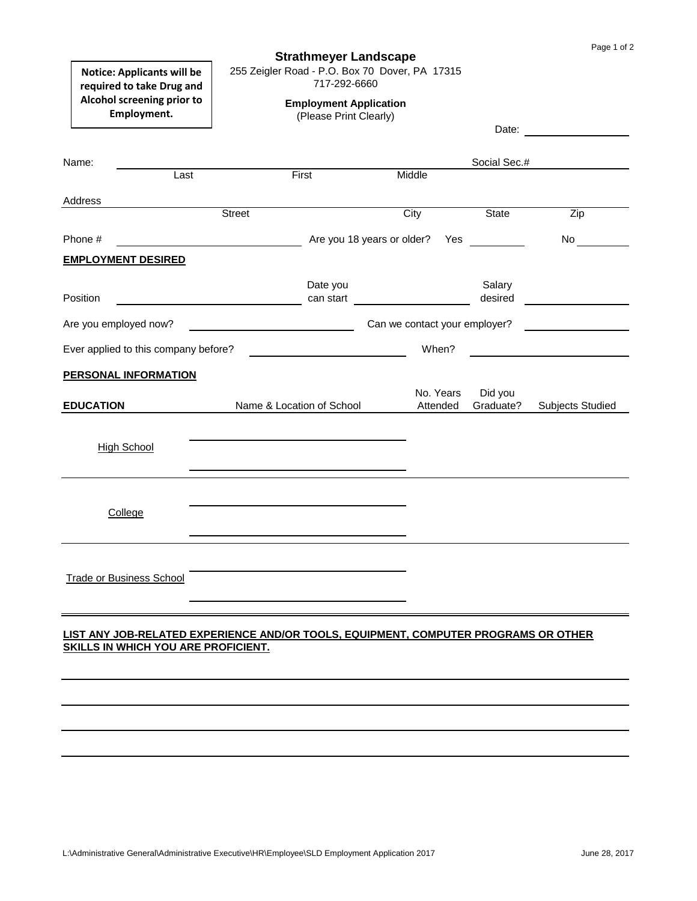| Page 1 of 2 |  |  |  |  |
|-------------|--|--|--|--|
|-------------|--|--|--|--|

## **Strathmeyer Landscape**

255 Zeigler Road - P.O. Box 70 Dover, PA 17315

717-292-6660

**Notice: Applicants will be required to take Drug and Alcohol screening prior to Employment.**

# **Employment Application**

(Please Print Clearly)

|                                                                                                                                   |               |                           |                                                                                                                                                                                                                                |                                                                                                                                      | Date:        |                         |
|-----------------------------------------------------------------------------------------------------------------------------------|---------------|---------------------------|--------------------------------------------------------------------------------------------------------------------------------------------------------------------------------------------------------------------------------|--------------------------------------------------------------------------------------------------------------------------------------|--------------|-------------------------|
| Name:                                                                                                                             |               |                           |                                                                                                                                                                                                                                |                                                                                                                                      | Social Sec.# |                         |
| Last                                                                                                                              |               | First                     | Middle                                                                                                                                                                                                                         |                                                                                                                                      |              |                         |
| Address                                                                                                                           |               |                           |                                                                                                                                                                                                                                |                                                                                                                                      |              |                         |
|                                                                                                                                   | <b>Street</b> |                           |                                                                                                                                                                                                                                | City                                                                                                                                 | <b>State</b> | Zip                     |
|                                                                                                                                   |               |                           |                                                                                                                                                                                                                                |                                                                                                                                      |              |                         |
| Phone #                                                                                                                           |               |                           | Are you 18 years or older? Yes                                                                                                                                                                                                 |                                                                                                                                      |              | No                      |
| <b>EMPLOYMENT DESIRED</b>                                                                                                         |               |                           |                                                                                                                                                                                                                                |                                                                                                                                      |              |                         |
|                                                                                                                                   |               | Date you                  |                                                                                                                                                                                                                                |                                                                                                                                      | Salary       |                         |
| <b>Position</b>                                                                                                                   |               |                           | can start and the control of the control of the control of the control of the control of the control of the control of the control of the control of the control of the control of the control of the control of the control o |                                                                                                                                      | desired      |                         |
| Are you employed now?                                                                                                             |               |                           |                                                                                                                                                                                                                                | Can we contact your employer?<br><u> 1999 - Jan Jawa Barat, pamangan pada 1999 - Pada Barat, pamangan pada 1999 - Pada Barat, pa</u> |              |                         |
| Ever applied to this company before?                                                                                              |               |                           |                                                                                                                                                                                                                                | When?                                                                                                                                |              |                         |
| <b>PERSONAL INFORMATION</b>                                                                                                       |               |                           |                                                                                                                                                                                                                                |                                                                                                                                      |              |                         |
|                                                                                                                                   |               |                           |                                                                                                                                                                                                                                | No. Years                                                                                                                            | Did you      |                         |
| <b>EDUCATION</b>                                                                                                                  |               | Name & Location of School |                                                                                                                                                                                                                                | Attended                                                                                                                             | Graduate?    | <b>Subjects Studied</b> |
|                                                                                                                                   |               |                           |                                                                                                                                                                                                                                |                                                                                                                                      |              |                         |
| <b>High School</b>                                                                                                                |               |                           |                                                                                                                                                                                                                                |                                                                                                                                      |              |                         |
|                                                                                                                                   |               |                           |                                                                                                                                                                                                                                |                                                                                                                                      |              |                         |
|                                                                                                                                   |               |                           |                                                                                                                                                                                                                                |                                                                                                                                      |              |                         |
|                                                                                                                                   |               |                           |                                                                                                                                                                                                                                |                                                                                                                                      |              |                         |
| College                                                                                                                           |               |                           |                                                                                                                                                                                                                                |                                                                                                                                      |              |                         |
|                                                                                                                                   |               |                           |                                                                                                                                                                                                                                |                                                                                                                                      |              |                         |
|                                                                                                                                   |               |                           |                                                                                                                                                                                                                                |                                                                                                                                      |              |                         |
| <b>Trade or Business School</b>                                                                                                   |               |                           |                                                                                                                                                                                                                                |                                                                                                                                      |              |                         |
|                                                                                                                                   |               |                           |                                                                                                                                                                                                                                |                                                                                                                                      |              |                         |
|                                                                                                                                   |               |                           |                                                                                                                                                                                                                                |                                                                                                                                      |              |                         |
|                                                                                                                                   |               |                           |                                                                                                                                                                                                                                |                                                                                                                                      |              |                         |
|                                                                                                                                   |               |                           |                                                                                                                                                                                                                                |                                                                                                                                      |              |                         |
| LIST ANY JOB-RELATED EXPERIENCE AND/OR TOOLS, EQUIPMENT, COMPUTER PROGRAMS OR OTHER<br><b>SKILLS IN WHICH YOU ARE PROFICIENT.</b> |               |                           |                                                                                                                                                                                                                                |                                                                                                                                      |              |                         |